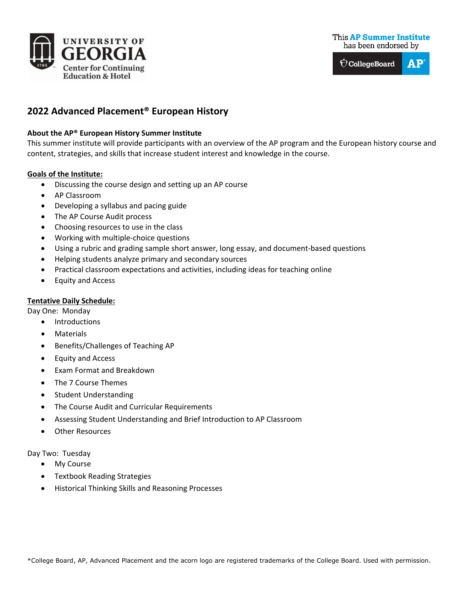



# **2022 Advanced Placement® European History**

## **About the AP® European History Summer Institute**

This summer institute will provide participants with an overview of the AP program and the European history course and content, strategies, and skills that increase student interest and knowledge in the course.

### **Goals of the Institute:**

- Discussing the course design and setting up an AP course
- AP Classroom
- Developing a syllabus and pacing guide
- The AP Course Audit process
- Choosing resources to use in the class
- Working with multiple-choice questions
- Using a rubric and grading sample short answer, long essay, and document-based questions
- Helping students analyze primary and secondary sources
- Practical classroom expectations and activities, including ideas for teaching online
- Equity and Access

# **Tentative Daily Schedule:**

Day One: Monday

- **Introductions**
- **Materials**
- Benefits/Challenges of Teaching AP
- Equity and Access
- Exam Format and Breakdown
- The 7 Course Themes
- Student Understanding
- The Course Audit and Curricular Requirements
- Assessing Student Understanding and Brief Introduction to AP Classroom
- **Other Resources**
- Day Two: Tuesday
	- My Course
	- Textbook Reading Strategies
	- Historical Thinking Skills and Reasoning Processes